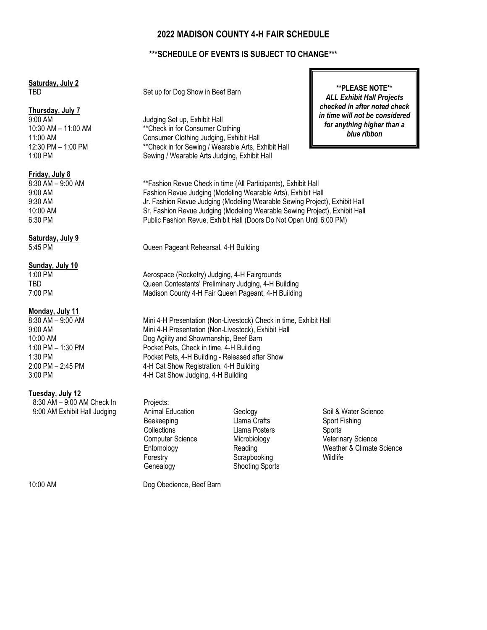# **2022 MADISON COUNTY 4-H FAIR SCHEDULE**

## **\*\*\*SCHEDULE OF EVENTS IS SUBJECT TO CHANGE\*\*\***

# **Saturday, July 2**

# **Thursday, July 7**

**Friday, July 8**

Saturday, July 9<br>5:45 PM

### **Sunday, July 10**

### **Monday, July 11**

### **Tuesday, July 12**

8:30 AM – 9:00 AM Check In Projects:

TBD Set up for Dog Show in Beef Barn

9:00 AM Judging Set up, Exhibit Hall<br>10:30 AM - 11:00 AM \*\*Check in for Consumer Clo \*\*Check in for Consumer Clothing 11:00 AM Consumer Clothing Judging, Exhibit Hall 12:30 PM – 1:00 PM \*\*Check in for Sewing / Wearable Arts, Exhibit Hall 1:00 PM Sewing / Wearable Arts Judging, Exhibit Hall

8:30 AM – 9:00 AM \*\*Fashion Revue Check in time (All Participants), Exhibit Hall Fashion Revue Judging (Modeling Wearable Arts), Exhibit Hall 9:30 AM Jr. Fashion Revue Judging (Modeling Wearable Sewing Project), Exhibit Hall<br>10:00 AM John St. Fashion Revue Judging (Modeling Wearable Sewing Project), Exhibit Hall 10:00 AM Sr. Fashion Revue Judging (Modeling Wearable Sewing Project), Exhibit Hall<br>6:30 PM Sexteen Sexteen Public Fashion Revue. Exhibit Hall (Doors Do Not Open Until 6:00 PM) Public Fashion Revue, Exhibit Hall (Doors Do Not Open Until 6:00 PM)

Queen Pageant Rehearsal, 4-H Building

1:00 PM Aerospace (Rocketry) Judging, 4-H Fairgrounds TBD Queen Contestants' Preliminary Judging, 4-H Building 7:00 PM Madison County 4-H Fair Queen Pageant, 4-H Building

8:30 AM – 9:00 AM Mini 4-H Presentation (Non-Livestock) Check in time, Exhibit Hall 9:00 AM Mini 4-H Presentation (Non-Livestock), Exhibit Hall 10:00 AM<br>1:00 PM - 1:30 PM **Dog Agility and Showmanship, Beef Barn**<br>Pocket Pets, Check in time 4-H Building Pocket Pets, Check in time, 4-H Building 1:30 PM Pocket Pets, 4-H Building - Released after Show 2:00 PM – 2:45 PM 4-H Cat Show Registration, 4-H Building 3:00 PM 4-H Cat Show Judging, 4-H Building

9:00 AM Exhibit Hall Judging Animal Education Geology Geology Soil & Water Science<br>Beekeeping Beekeeping Llama Crafts Sport Fishing Beekeeping **Communist Clama Crafts** Sport Fishing<br>Collections **Collections** Llama Posters Sports Computer Science Microbiology Veterinary Science Entomology Reading Weather & Climate Science Forestry Scrapbooking Genealogy Shooting Sports

Llama Posters Sports

10:00 AM Dog Obedience, Beef Barn

**\*\*PLEASE NOTE\*\*** *ALL Exhibit Hall Projects checked in after noted check in time will not be considered for anything higher than a blue ribbon*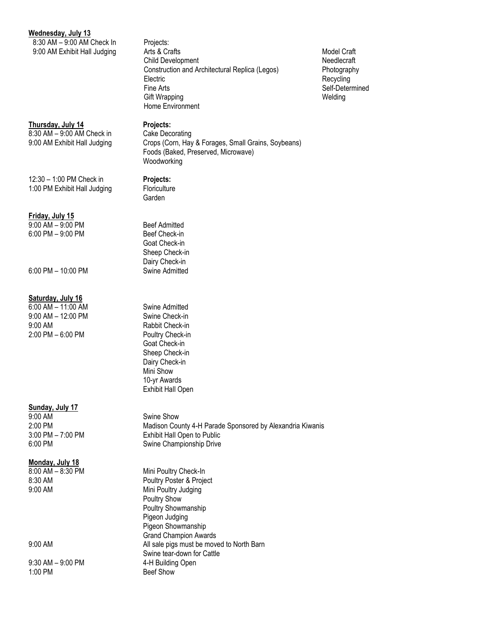#### **Wednesday, July 13**

8:30 AM – 9:00 AM Check In Projects:

# **Thursday, July 14 Projects:**

8:30 AM – 9:00 AM Check in Cake Decorating

12:30 – 1:00 PM Check in **Projects:** 1:00 PM Exhibit Hall Judging Floriculture

#### **Friday, July 15**

9:00 AM – 9:00 PM Beef Admitted 6:00 PM – 9:00 PM 6:00 Beef Check-in

6:00 PM – 10:00 PM Swine Admitted

#### **Saturday, July 16**

6:00 AM – 11:00 AM Swine Admitted 9:00 AM – 12:00 PM Swine Check-in 9:00 AM Rabbit Check-in 2:00 PM – 6:00 PM Poultry Check-in

# **Sunday, July 17**<br>9:00 AM

9:00 AM Swine Show<br>2:00 PM 3.00 AM Swine Show<br>Madison County

#### **Monday, July 18**

9:30 AM – 9:00 PM 4-H Building Open 1:00 PM Beef Show

# 9:00 AM Exhibit Hall Judging Arts & Crafts Model Craft Model Craft Child Development Needlecraft Construction and Architectural Replica (Legos) Photography Electric Recycling Fine Arts Self-Determined Gift Wrapping Welding Home Environment

9:00 AM Exhibit Hall Judging Crops (Corn, Hay & Forages, Small Grains, Soybeans) Foods (Baked, Preserved, Microwave)

Woodworking

Garden

Goat Check-in Sheep Check-in Dairy Check-in

Goat Check-in Sheep Check-in Dairy Check-in Mini Show 10-yr Awards Exhibit Hall Open

Madison County 4-H Parade Sponsored by Alexandria Kiwanis 3:00 PM – 7:00 PM Exhibit Hall Open to Public 6:00 PM Swine Championship Drive

8:00 AM – 8:30 PM Mini Poultry Check-In 8:30 AM Poultry Poster & Project 9:00 AM Mini Poultry Judging Poultry Show Poultry Showmanship Pigeon Judging Pigeon Showmanship Grand Champion Awards 9:00 AM All sale pigs must be moved to North Barn Swine tear-down for Cattle